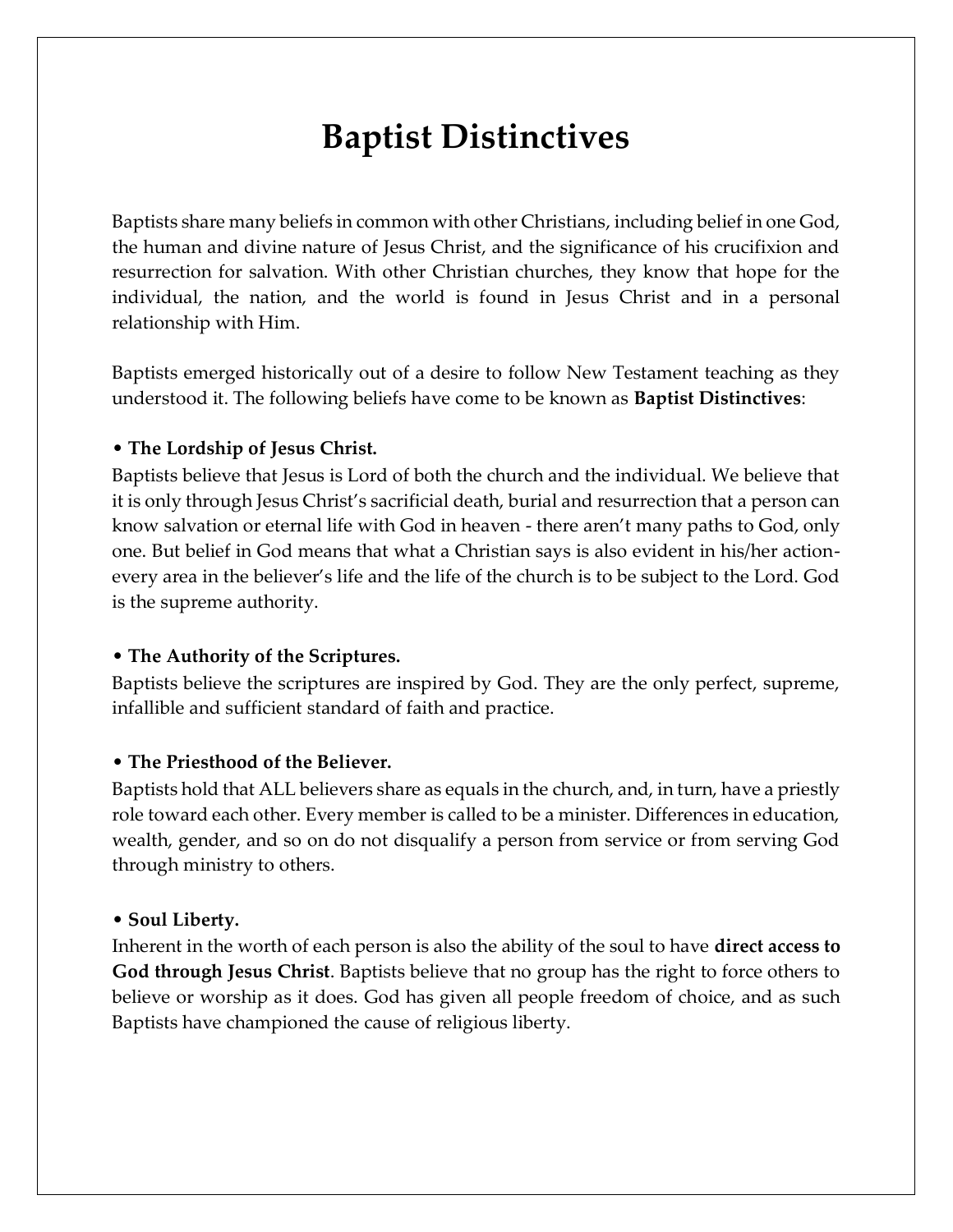# **Baptist Distinctives**

Baptists share many beliefs in common with other Christians, including belief in one God, the human and divine nature of Jesus Christ, and the significance of his crucifixion and resurrection for salvation. With other Christian churches, they know that hope for the individual, the nation, and the world is found in Jesus Christ and in a personal relationship with Him.

Baptists emerged historically out of a desire to follow New Testament teaching as they understood it. The following beliefs have come to be known as **Baptist Distinctives**:

#### • **The Lordship of Jesus Christ.**

Baptists believe that Jesus is Lord of both the church and the individual. We believe that it is only through Jesus Christ's sacrificial death, burial and resurrection that a person can know salvation or eternal life with God in heaven - there aren't many paths to God, only one. But belief in God means that what a Christian says is also evident in his/her actionevery area in the believer's life and the life of the church is to be subject to the Lord. God is the supreme authority.

#### • **The Authority of the Scriptures.**

Baptists believe the scriptures are inspired by God. They are the only perfect, supreme, infallible and sufficient standard of faith and practice.

## • **The Priesthood of the Believer.**

Baptists hold that ALL believers share as equals in the church, and, in turn, have a priestly role toward each other. Every member is called to be a minister. Differences in education, wealth, gender, and so on do not disqualify a person from service or from serving God through ministry to others.

#### • **Soul Liberty.**

Inherent in the worth of each person is also the ability of the soul to have **direct access to God through Jesus Christ**. Baptists believe that no group has the right to force others to believe or worship as it does. God has given all people freedom of choice, and as such Baptists have championed the cause of religious liberty.